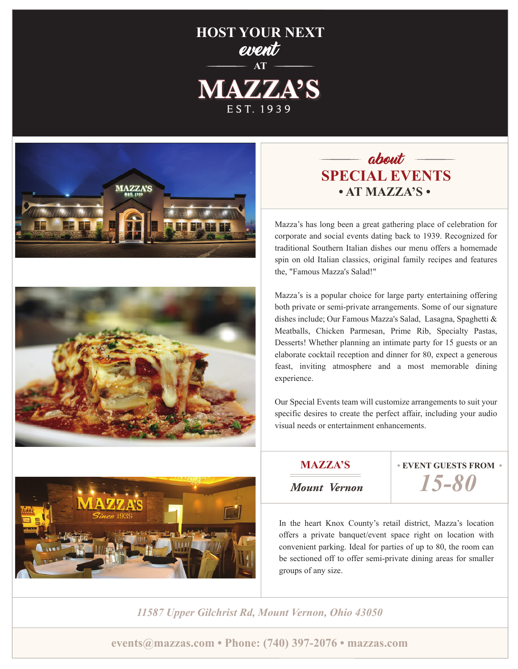# **HOST YOUR NEXT** event **AT MAZZA'S** E S T. 1939







# $a$ bout  $\rule{1em}{0.15mm}$ **SPECIAL EVENTS • AT MAZZA'S •**

Mazza's has long been a great gathering place of celebration for corporate and social events dating back to 1939. Recognized for traditional Southern Italian dishes our menu offers a homemade spin on old Italian classics, original family recipes and features the, "Famous Mazza's Salad!"

Mazza's is a popular choice for large party entertaining offering both private or semi-private arrangements. Some of our signature dishes include; Our Famous Mazza's Salad, Lasagna, Spaghetti & Meatballs, Chicken Parmesan, Prime Rib, Specialty Pastas, Desserts! Whether planning an intimate party for 15 guests or an elaborate cocktail reception and dinner for 80, expect a generous feast, inviting atmosphere and a most memorable dining experience.

Our Special Events team will customize arrangements to suit your specific desires to create the perfect affair, including your audio visual needs or entertainment enhancements.

**MAZZA'S**

**• EVENT GUESTS FROM •**

*Mount Vernon*

*15-80*

In the heart Knox County's retail district, Mazza's location offers a private banquet/event space right on location with convenient parking. Ideal for parties of up to 80, the room can be sectioned off to offer semi-private dining areas for smaller groups of any size.

*11587 Upper Gilchrist Rd, Mount Vernon, Ohio 43050*

**events@mazzas.com • Phone: (740) 397-2076 • mazzas.com**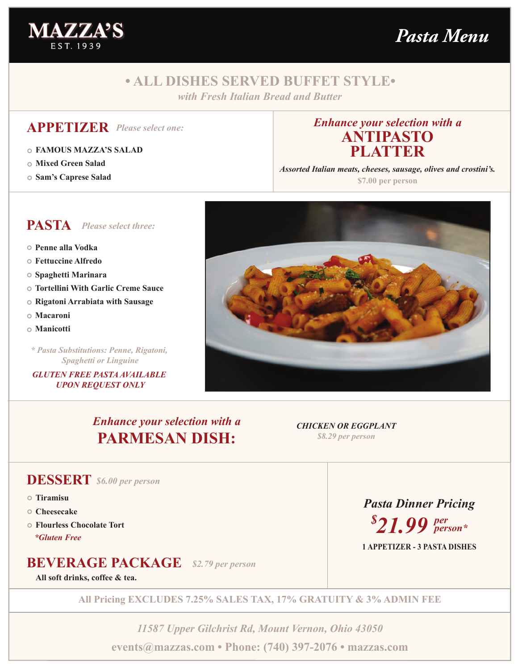



# **• ALL DISHES SERVED BUFFET STYLE•**

*with Fresh Italian Bread and Butter*

### **APPETIZER** *Please select one:*

- **FAMOUS MAZZA'S SALAD**
- **Mixed Green Salad**
- **Sam's Caprese Salad**

### *Enhance your selection with a* **ANTIPASTO PLATTER**

*Assorted Italian meats, cheeses, sausage, olives and crostini's.*

**\$7.00 per person**



- **Penne alla Vodka**
- **Fettuccine Alfredo**
- **Spaghetti Marinara**
- **Tortellini With Garlic Creme Sauce**
- **Rigatoni Arrabiata with Sausage**
- **Macaroni**
- **Manicotti**

*\* Pasta Substitutions: Penne, Rigatoni, Spaghetti or Linguine*

*GLUTEN FREE PASTA AVAILABLE UPON REQUEST ONLY*



*Enhance your selection with a* **PARMESAN DISH:**

*CHICKEN OR EGGPLANT \$8.29 per person*

### **DESSERT** *\$6.00 per person*

- **Tiramisu**
- **Cheesecake**
- **Flourless Chocolate Tort** *\*Gluten Free*

## **BEVERAGE PACKAGE** *\$2.79 per person*

**All soft drinks, coffee & tea.**

**All Pricing EXCLUDES 7.25% SALES TAX, 17% GRATUITY & 3% ADMIN FEE**

*11587 Upper Gilchrist Rd, Mount Vernon, Ohio 43050* **events@mazzas.com • Phone: (740) 397-2076 • mazzas.com**

*Pasta Dinner Pricing \$ 21.99 per person\**

**1 APPETIZER - 3 PASTA DISHES**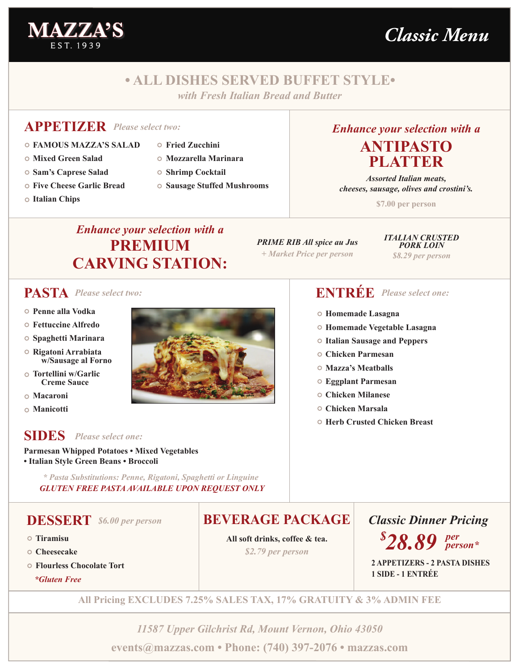

*Classic Menu*

# **• ALL DISHES SERVED BUFFET STYLE•**

*with Fresh Italian Bread and Butter*

## **APPETIZER** *Please select two:*

- **FAMOUS MAZZA'S SALAD**
- **Mixed Green Salad**
- **Sam's Caprese Salad**
- **Five Cheese Garlic Bread**
- **Italian Chips**
- - **Fried Zucchini**
	- **Mozzarella Marinara**
	- **Shrimp Cocktail**
	- **Sausage Stuffed Mushrooms**

# *Enhance your selection with a* **ANTIPASTO PLATTER**

*Assorted Italian meats, cheeses, sausage, olives and crostini's.*

**\$7.00 per person**

# *Enhance your selection with a* **PREMIUM CARVING STATION:**

*PRIME RIB All spice au Jus + Market Price per person*

*ITALIAN CRUSTED PORK LOIN \$8.29 per person*

- **Penne alla Vodka**
- **Fettuccine Alfredo**
- **Spaghetti Marinara**
- **Rigatoni Arrabiata w/Sausage al Forno**
- **Tortellini w/Garlic Creme Sauce**
- **Macaroni**
- **Manicotti**

### **SIDES** *Please select one:*

**Parmesan Whipped Potatoes • Mixed Vegetables • Italian Style Green Beans • Broccoli**

*\* Pasta Substitutions: Penne, Rigatoni, Spaghetti or Linguine GLUTEN FREE PASTA AVAILABLE UPON REQUEST ONLY*

### **DESSERT** *\$6.00 per person*

- **Tiramisu**
- **Cheesecake**
- **Flourless Chocolate Tort**

*\*Gluten Free*



# **PASTA** *Please select two:* **ENTRÉE** *Please select one:*

- **Homemade Lasagna**
- **Homemade Vegetable Lasagna**
- **Italian Sausage and Peppers**
- **Chicken Parmesan**
- **Mazza's Meatballs**
- **Eggplant Parmesan**
- **Chicken Milanese**
- **Chicken Marsala**
- **Herb Crusted Chicken Breast**

# **BEVERAGE PACKAGE**

*\$2.79 per person* **All soft drinks, coffee & tea.** *Classic Dinner Pricing*

*\$ 28.89 per person\**

**2 APPETIZERS - 2 PASTA DISHES 1 SIDE - 1 ENTRÉE**

**All Pricing EXCLUDES 7.25% SALES TAX, 17% GRATUITY & 3% ADMIN FEE**

*11587 Upper Gilchrist Rd, Mount Vernon, Ohio 43050* **events@mazzas.com • Phone: (740) 397-2076 • mazzas.com**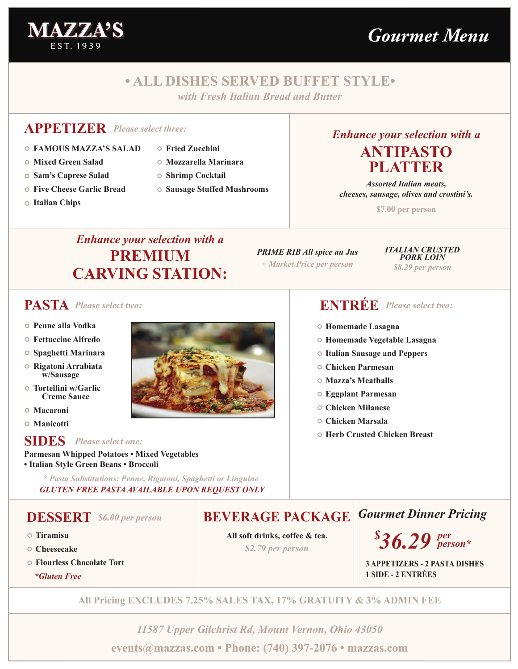

# *Gourmet Menu*

# **• ALL DISHES SERVED BUFFET STYLE•**

*with Fresh Italian Bread and Butter*

### **APPETIZER** *Please select three:*

- **FAMOUS MAZZA'S SALAD**
- **Mixed Green Salad**
- **Sam's Caprese Salad**
- **Five Cheese Garlic Bread**
- **Italian Chips**
- - **Fried Zucchini**
	- **Mozzarella Marinara**
	- **Shrimp Cocktail**
	- **Sausage Stuffed Mushrooms**

### *Enhance your selection with a* **ANTIPASTO PLATTER**

*Assorted Italian meats, cheeses, sausage, olives and crostini's.*

**\$7.00 per person**

# *Enhance your selection with a* **PREMIUM CARVING STATION:**

*PRIME RIB All spice au Jus + Market Price per person*

*ITALIAN CRUSTED PORK LOIN \$8.29 per person*

### **PASTA** *Please select two:*

- **Penne alla Vodka**
- **Fettuccine Alfredo**
- **Spaghetti Marinara**
- **Rigatoni Arrabiata w/Sausage**
- **Tortellini w/Garlic Creme Sauce**
- **Macaroni**
- **Manicotti**

### **SIDES** *Please select one:*

**Parmesan Whipped Potatoes • Mixed Vegetables • Italian Style Green Beans • Broccoli**

*\* Pasta Substitutions: Penne, Rigatoni, Spaghetti or Linguine GLUTEN FREE PASTA AVAILABLE UPON REQUEST ONLY*

### **DESSERT** *\$6.00 per person*

- **Tiramisu**
- **Cheesecake**
- **Flourless Chocolate Tort**

*\*Gluten Free*



# **ENTRÉE** *Please select two:*

- **Homemade Lasagna**
- **Homemade Vegetable Lasagna**
- **Italian Sausage and Peppers**
- **Chicken Parmesan**
- **Mazza's Meatballs**
- **Eggplant Parmesan**
- **Chicken Milanese**
- **Chicken Marsala**
- **Herb Crusted Chicken Breast**

# **BEVERAGE PACKAGE**

*\$2.79 per person* **All soft drinks, coffee & tea.** *Gourmet Dinner Pricing*

*\$ 36.29 per person\**

**3 APPETIZERS - 2 PASTA DISHES 1 SIDE - 2 ENTRÉES**

**All Pricing EXCLUDES 7.25% SALES TAX, 17% GRATUITY & 3% ADMIN FEE**

*11587 Upper Gilchrist Rd, Mount Vernon, Ohio 43050* **events@mazzas.com • Phone: (740) 397-2076 • mazzas.com**